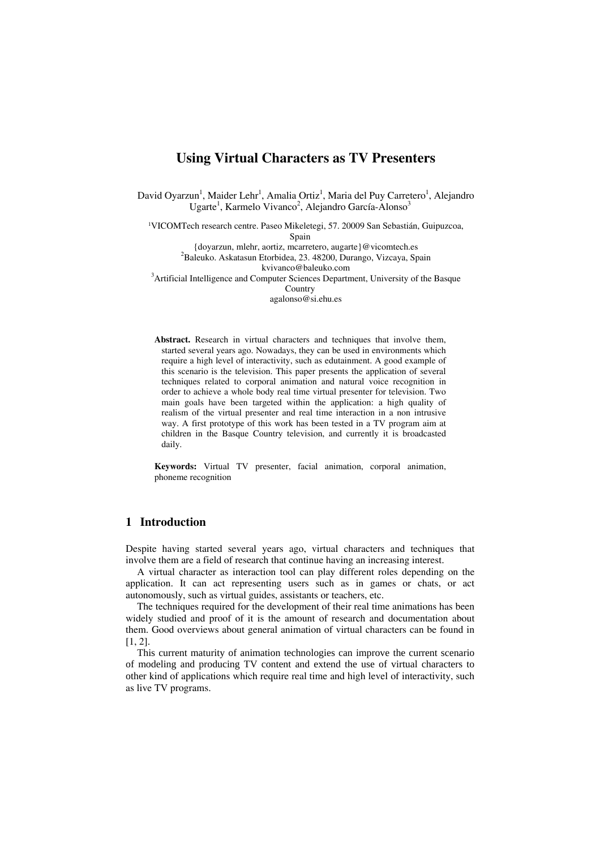# **Using Virtual Characters as TV Presenters**

David Oyarzun<sup>1</sup>, Maider Lehr<sup>1</sup>, Amalia Ortiz<sup>1</sup>, Maria del Puy Carretero<sup>1</sup>, Alejandro Ugarte<sup>1</sup>, Karmelo Vivanco<sup>2</sup>, Alejandro García-Alonso<sup>3</sup>

1 VICOMTech research centre. Paseo Mikeletegi, 57. 20009 San Sebastián, Guipuzcoa, Spain {doyarzun, mlehr, aortiz, mcarretero, augarte}@vicomtech.es 2

<sup>2</sup>Baleuko. Askatasun Etorbidea, 23. 48200, Durango, Vizcaya, Spain

kvivanco@baleuko.com 3 Artificial Intelligence and Computer Sciences Department, University of the Basque Country

agalonso@si.ehu.es

**Abstract.** Research in virtual characters and techniques that involve them, started several years ago. Nowadays, they can be used in environments which require a high level of interactivity, such as edutainment. A good example of this scenario is the television. This paper presents the application of several techniques related to corporal animation and natural voice recognition in order to achieve a whole body real time virtual presenter for television. Two main goals have been targeted within the application: a high quality of realism of the virtual presenter and real time interaction in a non intrusive way. A first prototype of this work has been tested in a TV program aim at children in the Basque Country television, and currently it is broadcasted daily.

**Keywords:** Virtual TV presenter, facial animation, corporal animation, phoneme recognition

## **1 Introduction**

Despite having started several years ago, virtual characters and techniques that involve them are a field of research that continue having an increasing interest.

A virtual character as interaction tool can play different roles depending on the application. It can act representing users such as in games or chats, or act autonomously, such as virtual guides, assistants or teachers, etc.

The techniques required for the development of their real time animations has been widely studied and proof of it is the amount of research and documentation about them. Good overviews about general animation of virtual characters can be found in [1, 2].

This current maturity of animation technologies can improve the current scenario of modeling and producing TV content and extend the use of virtual characters to other kind of applications which require real time and high level of interactivity, such as live TV programs.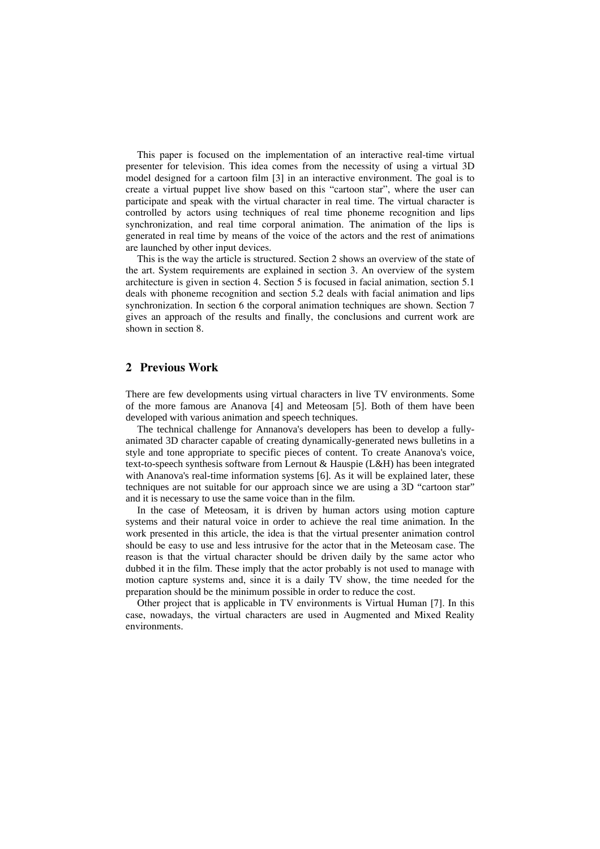This paper is focused on the implementation of an interactive real-time virtual presenter for television. This idea comes from the necessity of using a virtual 3D model designed for a cartoon film [3] in an interactive environment. The goal is to create a virtual puppet live show based on this "cartoon star", where the user can participate and speak with the virtual character in real time. The virtual character is controlled by actors using techniques of real time phoneme recognition and lips synchronization, and real time corporal animation. The animation of the lips is generated in real time by means of the voice of the actors and the rest of animations are launched by other input devices.

This is the way the article is structured. Section 2 shows an overview of the state of the art. System requirements are explained in section 3. An overview of the system architecture is given in section 4. Section 5 is focused in facial animation, section 5.1 deals with phoneme recognition and section 5.2 deals with facial animation and lips synchronization. In section 6 the corporal animation techniques are shown. Section 7 gives an approach of the results and finally, the conclusions and current work are shown in section 8.

### **2 Previous Work**

There are few developments using virtual characters in live TV environments. Some of the more famous are Ananova [4] and Meteosam [5]. Both of them have been developed with various animation and speech techniques.

The technical challenge for Annanova's developers has been to develop a fullyanimated 3D character capable of creating dynamically-generated news bulletins in a style and tone appropriate to specific pieces of content. To create Ananova's voice, text-to-speech synthesis software from Lernout & Hauspie (L&H) has been integrated with Ananova's real-time information systems [6]. As it will be explained later, these techniques are not suitable for our approach since we are using a 3D "cartoon star" and it is necessary to use the same voice than in the film.

In the case of Meteosam, it is driven by human actors using motion capture systems and their natural voice in order to achieve the real time animation. In the work presented in this article, the idea is that the virtual presenter animation control should be easy to use and less intrusive for the actor that in the Meteosam case. The reason is that the virtual character should be driven daily by the same actor who dubbed it in the film. These imply that the actor probably is not used to manage with motion capture systems and, since it is a daily TV show, the time needed for the preparation should be the minimum possible in order to reduce the cost.

Other project that is applicable in TV environments is Virtual Human [7]. In this case, nowadays, the virtual characters are used in Augmented and Mixed Reality environments.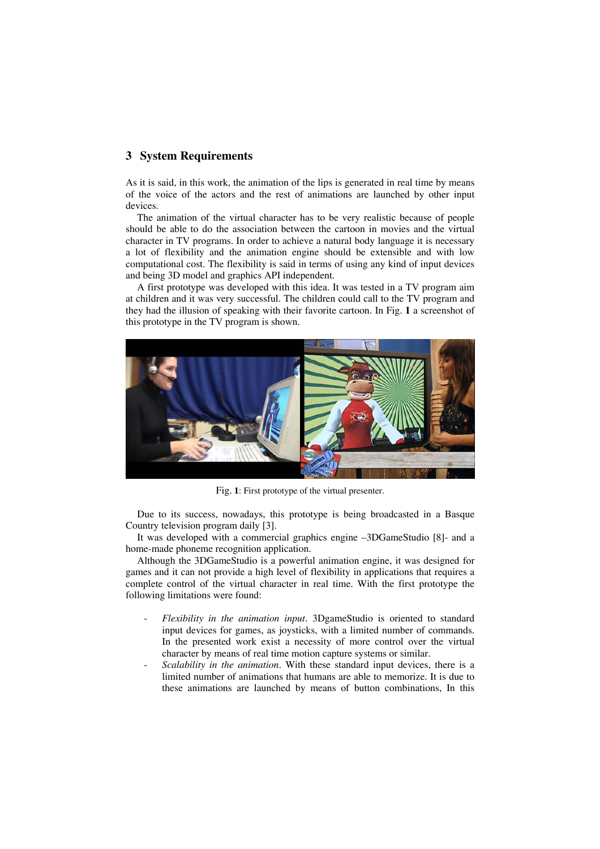### **3 System Requirements**

As it is said, in this work, the animation of the lips is generated in real time by means of the voice of the actors and the rest of animations are launched by other input devices.

The animation of the virtual character has to be very realistic because of people should be able to do the association between the cartoon in movies and the virtual character in TV programs. In order to achieve a natural body language it is necessary a lot of flexibility and the animation engine should be extensible and with low computational cost. The flexibility is said in terms of using any kind of input devices and being 3D model and graphics API independent.

A first prototype was developed with this idea. It was tested in a TV program aim at children and it was very successful. The children could call to the TV program and they had the illusion of speaking with their favorite cartoon. In Fig. **1** a screenshot of this prototype in the TV program is shown.



Fig. **1**: First prototype of the virtual presenter.

Due to its success, nowadays, this prototype is being broadcasted in a Basque Country television program daily [3].

It was developed with a commercial graphics engine –3DGameStudio [8]- and a home-made phoneme recognition application.

Although the 3DGameStudio is a powerful animation engine, it was designed for games and it can not provide a high level of flexibility in applications that requires a complete control of the virtual character in real time. With the first prototype the following limitations were found:

- *Flexibility in the animation input*. 3DgameStudio is oriented to standard input devices for games, as joysticks, with a limited number of commands. In the presented work exist a necessity of more control over the virtual character by means of real time motion capture systems or similar.
- *Scalability in the animation*. With these standard input devices, there is a limited number of animations that humans are able to memorize. It is due to these animations are launched by means of button combinations, In this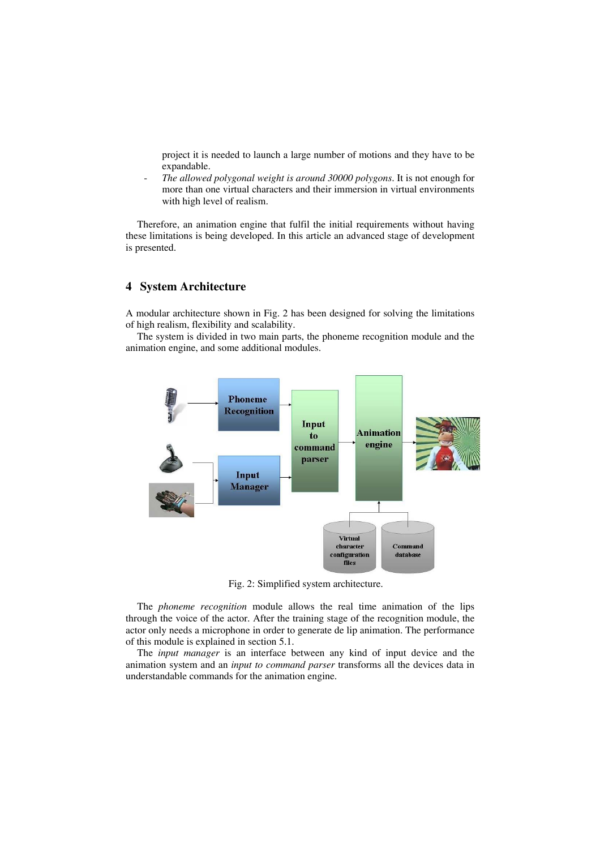project it is needed to launch a large number of motions and they have to be expandable.

- *The allowed polygonal weight is around 30000 polygons*. It is not enough for more than one virtual characters and their immersion in virtual environments with high level of realism.

Therefore, an animation engine that fulfil the initial requirements without having these limitations is being developed. In this article an advanced stage of development is presented.

# **4 System Architecture**

A modular architecture shown in Fig. 2 has been designed for solving the limitations of high realism, flexibility and scalability.

The system is divided in two main parts, the phoneme recognition module and the animation engine, and some additional modules.



Fig. 2: Simplified system architecture.

The *phoneme recognition* module allows the real time animation of the lips through the voice of the actor. After the training stage of the recognition module, the actor only needs a microphone in order to generate de lip animation. The performance of this module is explained in section 5.1.

The *input manager* is an interface between any kind of input device and the animation system and an *input to command parser* transforms all the devices data in understandable commands for the animation engine.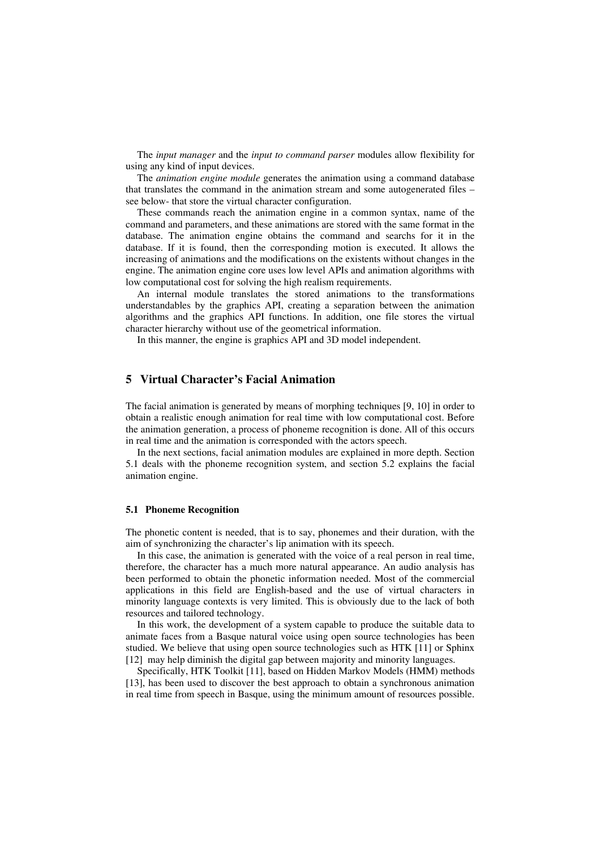The *input manager* and the *input to command parser* modules allow flexibility for using any kind of input devices.

The *animation engine module* generates the animation using a command database that translates the command in the animation stream and some autogenerated files – see below- that store the virtual character configuration.

These commands reach the animation engine in a common syntax, name of the command and parameters, and these animations are stored with the same format in the database. The animation engine obtains the command and searchs for it in the database. If it is found, then the corresponding motion is executed. It allows the increasing of animations and the modifications on the existents without changes in the engine. The animation engine core uses low level APIs and animation algorithms with low computational cost for solving the high realism requirements.

An internal module translates the stored animations to the transformations understandables by the graphics API, creating a separation between the animation algorithms and the graphics API functions. In addition, one file stores the virtual character hierarchy without use of the geometrical information.

In this manner, the engine is graphics API and 3D model independent.

# **5 Virtual Character's Facial Animation**

The facial animation is generated by means of morphing techniques [9, 10] in order to obtain a realistic enough animation for real time with low computational cost. Before the animation generation, a process of phoneme recognition is done. All of this occurs in real time and the animation is corresponded with the actors speech.

In the next sections, facial animation modules are explained in more depth. Section 5.1 deals with the phoneme recognition system, and section 5.2 explains the facial animation engine.

#### **5.1 Phoneme Recognition**

The phonetic content is needed, that is to say, phonemes and their duration, with the aim of synchronizing the character's lip animation with its speech.

In this case, the animation is generated with the voice of a real person in real time, therefore, the character has a much more natural appearance. An audio analysis has been performed to obtain the phonetic information needed. Most of the commercial applications in this field are English-based and the use of virtual characters in minority language contexts is very limited. This is obviously due to the lack of both resources and tailored technology.

In this work, the development of a system capable to produce the suitable data to animate faces from a Basque natural voice using open source technologies has been studied. We believe that using open source technologies such as HTK [11] or Sphinx [12] may help diminish the digital gap between majority and minority languages.

Specifically, HTK Toolkit [11], based on Hidden Markov Models (HMM) methods [13], has been used to discover the best approach to obtain a synchronous animation in real time from speech in Basque, using the minimum amount of resources possible.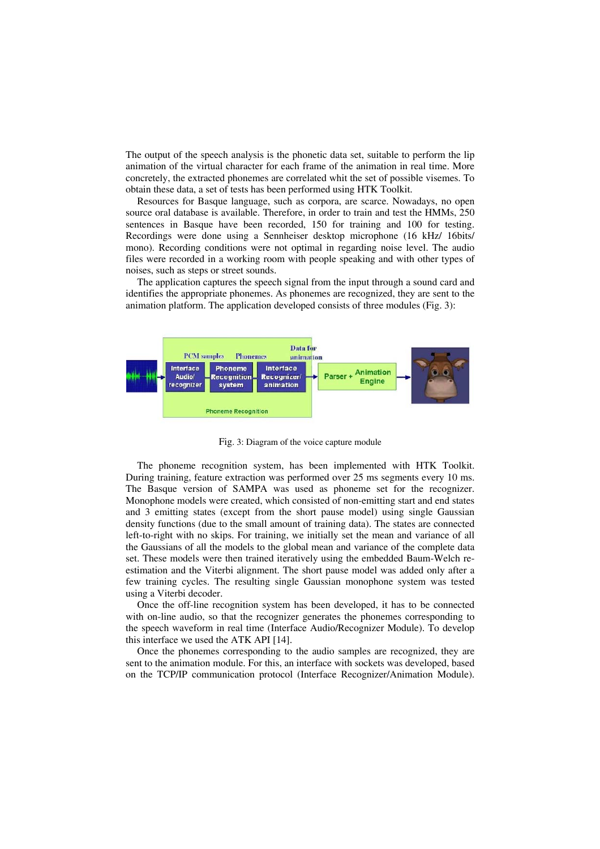The output of the speech analysis is the phonetic data set, suitable to perform the lip animation of the virtual character for each frame of the animation in real time. More concretely, the extracted phonemes are correlated whit the set of possible visemes. To obtain these data, a set of tests has been performed using HTK Toolkit.

Resources for Basque language, such as corpora, are scarce. Nowadays, no open source oral database is available. Therefore, in order to train and test the HMMs, 250 sentences in Basque have been recorded, 150 for training and 100 for testing. Recordings were done using a Sennheiser desktop microphone (16 kHz/ 16bits/ mono). Recording conditions were not optimal in regarding noise level. The audio files were recorded in a working room with people speaking and with other types of noises, such as steps or street sounds.

The application captures the speech signal from the input through a sound card and identifies the appropriate phonemes. As phonemes are recognized, they are sent to the animation platform. The application developed consists of three modules (Fig. 3):



Fig. 3: Diagram of the voice capture module

The phoneme recognition system, has been implemented with HTK Toolkit. During training, feature extraction was performed over 25 ms segments every 10 ms. The Basque version of SAMPA was used as phoneme set for the recognizer. Monophone models were created, which consisted of non-emitting start and end states and 3 emitting states (except from the short pause model) using single Gaussian density functions (due to the small amount of training data). The states are connected left-to-right with no skips. For training, we initially set the mean and variance of all the Gaussians of all the models to the global mean and variance of the complete data set. These models were then trained iteratively using the embedded Baum-Welch reestimation and the Viterbi alignment. The short pause model was added only after a few training cycles. The resulting single Gaussian monophone system was tested using a Viterbi decoder.

Once the off-line recognition system has been developed, it has to be connected with on-line audio, so that the recognizer generates the phonemes corresponding to the speech waveform in real time (Interface Audio/Recognizer Module). To develop this interface we used the ATK API [14].

Once the phonemes corresponding to the audio samples are recognized, they are sent to the animation module. For this, an interface with sockets was developed, based on the TCP/IP communication protocol (Interface Recognizer/Animation Module).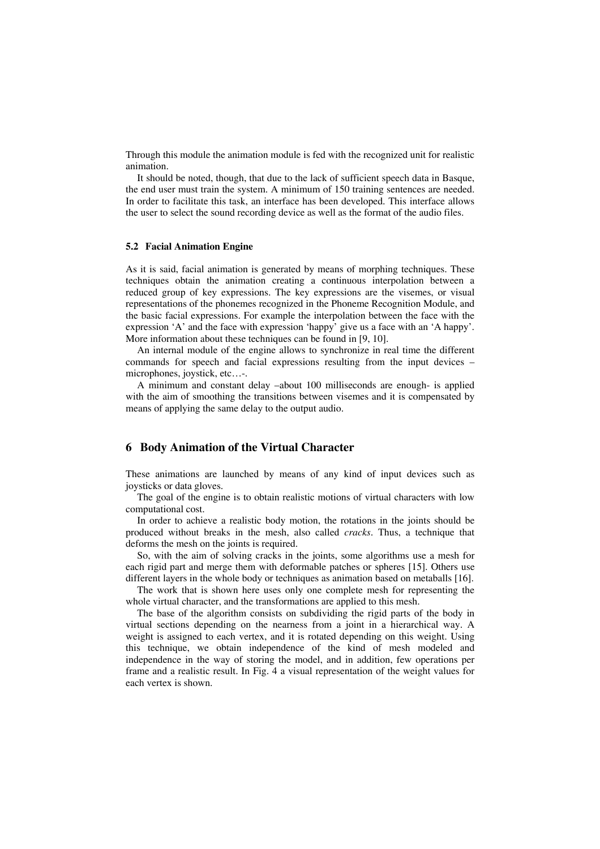Through this module the animation module is fed with the recognized unit for realistic animation.

It should be noted, though, that due to the lack of sufficient speech data in Basque, the end user must train the system. A minimum of 150 training sentences are needed. In order to facilitate this task, an interface has been developed. This interface allows the user to select the sound recording device as well as the format of the audio files.

#### **5.2 Facial Animation Engine**

As it is said, facial animation is generated by means of morphing techniques. These techniques obtain the animation creating a continuous interpolation between a reduced group of key expressions. The key expressions are the visemes, or visual representations of the phonemes recognized in the Phoneme Recognition Module, and the basic facial expressions. For example the interpolation between the face with the expression 'A' and the face with expression 'happy' give us a face with an 'A happy'. More information about these techniques can be found in [9, 10].

An internal module of the engine allows to synchronize in real time the different commands for speech and facial expressions resulting from the input devices – microphones, joystick, etc…-.

A minimum and constant delay –about 100 milliseconds are enough- is applied with the aim of smoothing the transitions between visemes and it is compensated by means of applying the same delay to the output audio.

## **6 Body Animation of the Virtual Character**

These animations are launched by means of any kind of input devices such as joysticks or data gloves.

The goal of the engine is to obtain realistic motions of virtual characters with low computational cost.

In order to achieve a realistic body motion, the rotations in the joints should be produced without breaks in the mesh, also called *cracks*. Thus, a technique that deforms the mesh on the joints is required.

So, with the aim of solving cracks in the joints, some algorithms use a mesh for each rigid part and merge them with deformable patches or spheres [15]. Others use different layers in the whole body or techniques as animation based on metaballs [16].

The work that is shown here uses only one complete mesh for representing the whole virtual character, and the transformations are applied to this mesh.

The base of the algorithm consists on subdividing the rigid parts of the body in virtual sections depending on the nearness from a joint in a hierarchical way. A weight is assigned to each vertex, and it is rotated depending on this weight. Using this technique, we obtain independence of the kind of mesh modeled and independence in the way of storing the model, and in addition, few operations per frame and a realistic result. In Fig. 4 a visual representation of the weight values for each vertex is shown.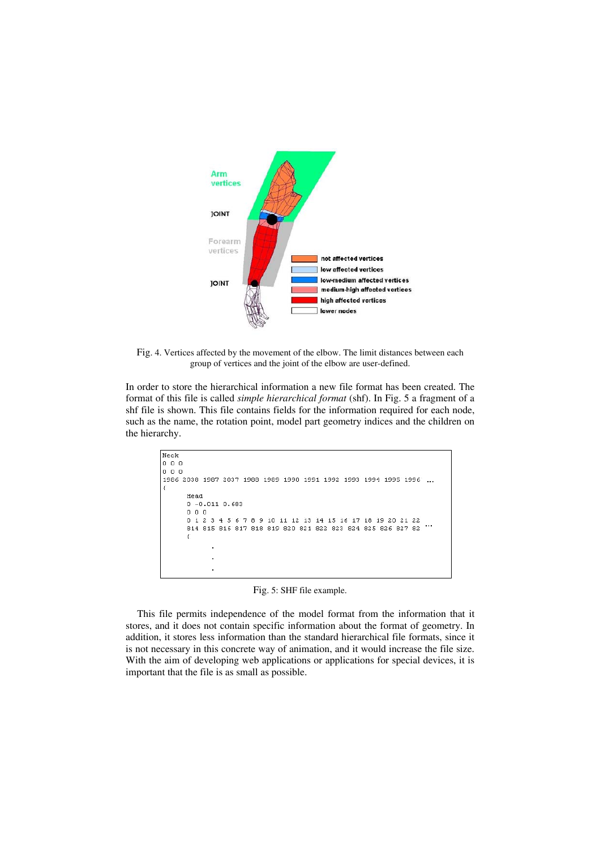

Fig. 4. Vertices affected by the movement of the elbow. The limit distances between each group of vertices and the joint of the elbow are user-defined.

In order to store the hierarchical information a new file format has been created. The format of this file is called *simple hierarchical format* (shf). In Fig. 5 a fragment of a shf file is shown. This file contains fields for the information required for each node, such as the name, the rotation point, model part geometry indices and the children on the hierarchy.

```
Neck0\ 0\ 00<sub>0</sub>1986 2038 1987 2037 1988 1989 1990 1991 1992 1993 1994 1995 1996 ...
Head
0 - 0.011 0.6830 0 0\begin{smallmatrix}0&1&2&3&4&5&6&7&8&9&10&11&12&13&14&15&16&17&18&19&20&21&22\end{smallmatrix}Ω,
814 815 816 817 818 819 820 821 822 823 824 825 826 827 82
```
Fig. 5: SHF file example.

This file permits independence of the model format from the information that it stores, and it does not contain specific information about the format of geometry. In addition, it stores less information than the standard hierarchical file formats, since it is not necessary in this concrete way of animation, and it would increase the file size. With the aim of developing web applications or applications for special devices, it is important that the file is as small as possible.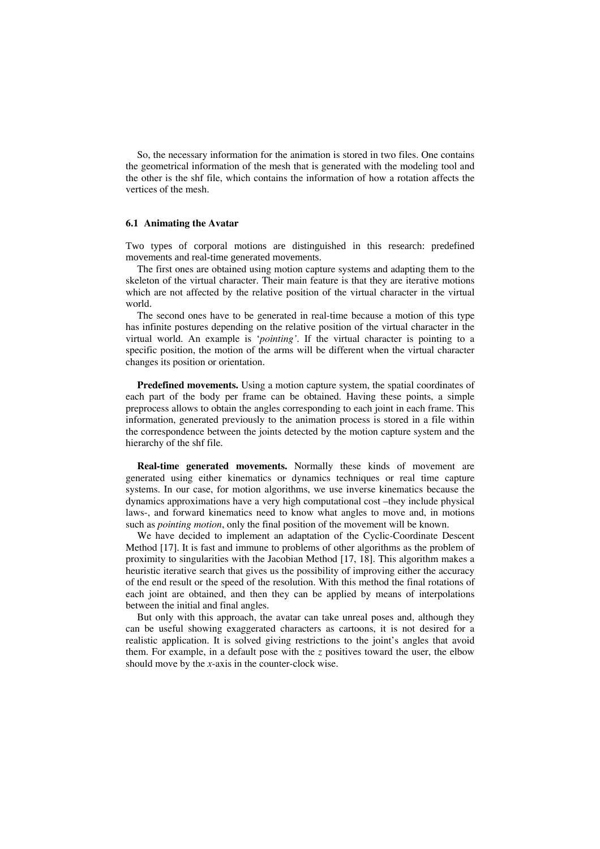So, the necessary information for the animation is stored in two files. One contains the geometrical information of the mesh that is generated with the modeling tool and the other is the shf file, which contains the information of how a rotation affects the vertices of the mesh.

#### **6.1 Animating the Avatar**

Two types of corporal motions are distinguished in this research: predefined movements and real-time generated movements.

The first ones are obtained using motion capture systems and adapting them to the skeleton of the virtual character. Their main feature is that they are iterative motions which are not affected by the relative position of the virtual character in the virtual world.

The second ones have to be generated in real-time because a motion of this type has infinite postures depending on the relative position of the virtual character in the virtual world. An example is '*pointing'*. If the virtual character is pointing to a specific position, the motion of the arms will be different when the virtual character changes its position or orientation.

**Predefined movements.** Using a motion capture system, the spatial coordinates of each part of the body per frame can be obtained. Having these points, a simple preprocess allows to obtain the angles corresponding to each joint in each frame. This information, generated previously to the animation process is stored in a file within the correspondence between the joints detected by the motion capture system and the hierarchy of the shf file.

**Real-time generated movements.** Normally these kinds of movement are generated using either kinematics or dynamics techniques or real time capture systems. In our case, for motion algorithms, we use inverse kinematics because the dynamics approximations have a very high computational cost –they include physical laws-, and forward kinematics need to know what angles to move and, in motions such as *pointing motion*, only the final position of the movement will be known.

We have decided to implement an adaptation of the Cyclic-Coordinate Descent Method [17]. It is fast and immune to problems of other algorithms as the problem of proximity to singularities with the Jacobian Method [17, 18]. This algorithm makes a heuristic iterative search that gives us the possibility of improving either the accuracy of the end result or the speed of the resolution. With this method the final rotations of each joint are obtained, and then they can be applied by means of interpolations between the initial and final angles.

But only with this approach, the avatar can take unreal poses and, although they can be useful showing exaggerated characters as cartoons, it is not desired for a realistic application. It is solved giving restrictions to the joint's angles that avoid them. For example, in a default pose with the *z* positives toward the user, the elbow should move by the *x*-axis in the counter-clock wise.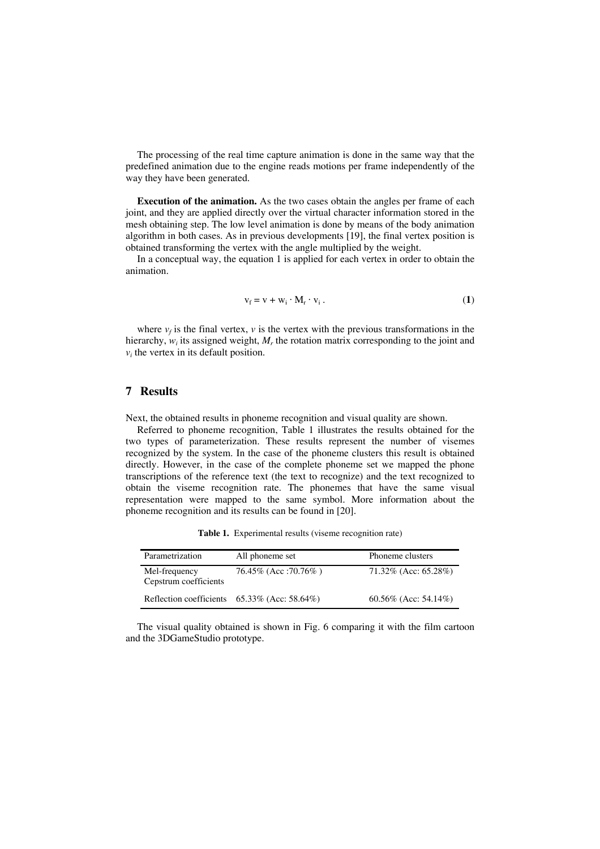The processing of the real time capture animation is done in the same way that the predefined animation due to the engine reads motions per frame independently of the way they have been generated.

**Execution of the animation.** As the two cases obtain the angles per frame of each joint, and they are applied directly over the virtual character information stored in the mesh obtaining step. The low level animation is done by means of the body animation algorithm in both cases. As in previous developments [19], the final vertex position is obtained transforming the vertex with the angle multiplied by the weight.

In a conceptual way, the equation 1 is applied for each vertex in order to obtain the animation.

$$
v_f = v + w_i \cdot M_r \cdot v_i \tag{1}
$$

where  $v_f$  is the final vertex,  $v$  is the vertex with the previous transformations in the hierarchy,  $w_i$  its assigned weight,  $M_r$  the rotation matrix corresponding to the joint and  $v_i$  the vertex in its default position.

### **7 Results**

Next, the obtained results in phoneme recognition and visual quality are shown.

Referred to phoneme recognition, Table 1 illustrates the results obtained for the two types of parameterization. These results represent the number of visemes recognized by the system. In the case of the phoneme clusters this result is obtained directly. However, in the case of the complete phoneme set we mapped the phone transcriptions of the reference text (the text to recognize) and the text recognized to obtain the viseme recognition rate. The phonemes that have the same visual representation were mapped to the same symbol. More information about the phoneme recognition and its results can be found in [20].

**Table 1.** Experimental results (viseme recognition rate)

| Parametrization                                 | All phoneme set      | Phoneme clusters        |
|-------------------------------------------------|----------------------|-------------------------|
| Mel-frequency<br>Cepstrum coefficients          | 76.45% (Acc: 70.76%) | $71.32\%$ (Acc: 65.28%) |
| Reflection coefficients $65.33\%$ (Acc: 58.64%) |                      | $60.56\%$ (Acc: 54.14%) |

The visual quality obtained is shown in Fig. 6 comparing it with the film cartoon and the 3DGameStudio prototype.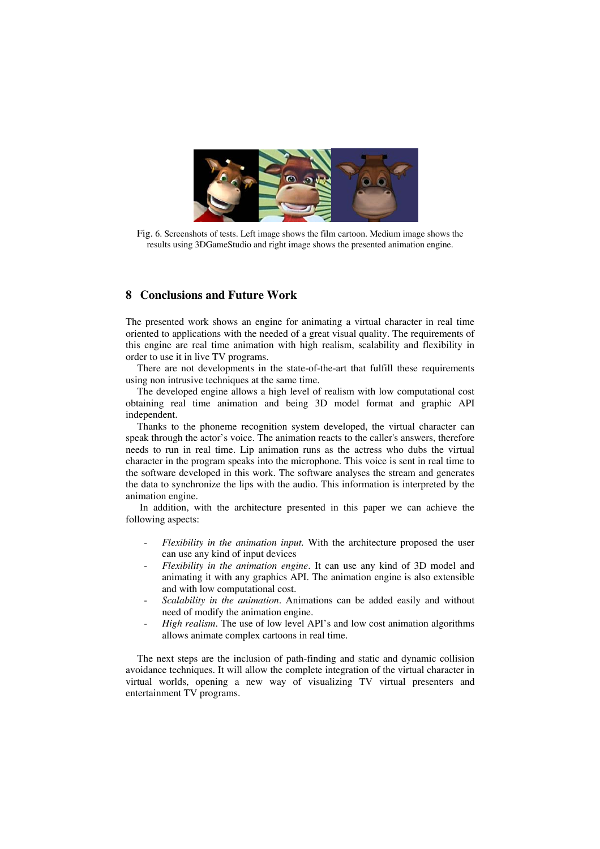

Fig. 6. Screenshots of tests. Left image shows the film cartoon. Medium image shows the results using 3DGameStudio and right image shows the presented animation engine.

## **8 Conclusions and Future Work**

The presented work shows an engine for animating a virtual character in real time oriented to applications with the needed of a great visual quality. The requirements of this engine are real time animation with high realism, scalability and flexibility in order to use it in live TV programs.

There are not developments in the state-of-the-art that fulfill these requirements using non intrusive techniques at the same time.

The developed engine allows a high level of realism with low computational cost obtaining real time animation and being 3D model format and graphic API independent.

Thanks to the phoneme recognition system developed, the virtual character can speak through the actor's voice. The animation reacts to the caller's answers, therefore needs to run in real time. Lip animation runs as the actress who dubs the virtual character in the program speaks into the microphone. This voice is sent in real time to the software developed in this work. The software analyses the stream and generates the data to synchronize the lips with the audio. This information is interpreted by the animation engine.

 In addition, with the architecture presented in this paper we can achieve the following aspects:

- *Flexibility in the animation input.* With the architecture proposed the user can use any kind of input devices
- *Flexibility in the animation engine*. It can use any kind of 3D model and animating it with any graphics API. The animation engine is also extensible and with low computational cost.
- *Scalability in the animation*. Animations can be added easily and without need of modify the animation engine.
- High realism. The use of low level API's and low cost animation algorithms allows animate complex cartoons in real time.

The next steps are the inclusion of path-finding and static and dynamic collision avoidance techniques. It will allow the complete integration of the virtual character in virtual worlds, opening a new way of visualizing TV virtual presenters and entertainment TV programs.